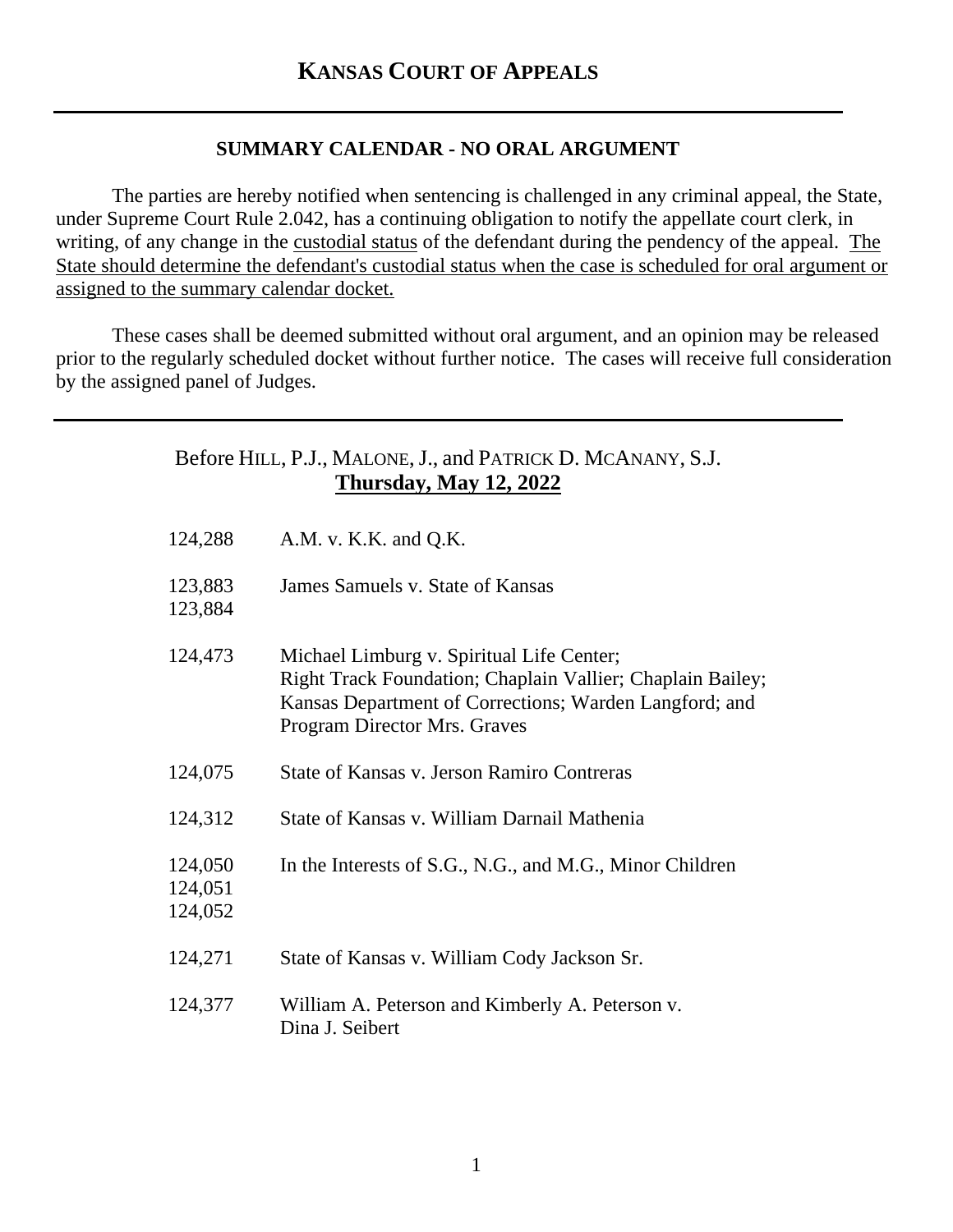## **SUMMARY CALENDAR - NO ORAL ARGUMENT**

The parties are hereby notified when sentencing is challenged in any criminal appeal, the State, under Supreme Court Rule 2.042, has a continuing obligation to notify the appellate court clerk, in writing, of any change in the custodial status of the defendant during the pendency of the appeal. The State should determine the defendant's custodial status when the case is scheduled for oral argument or assigned to the summary calendar docket.

These cases shall be deemed submitted without oral argument, and an opinion may be released prior to the regularly scheduled docket without further notice. The cases will receive full consideration by the assigned panel of Judges.

## Before HILL, P.J., MALONE, J., and PATRICK D. MCANANY, S.J. **Thursday, May 12, 2022**

| 124,288                       | A.M. v. K.K. and Q.K.                                                                                                                                                                             |
|-------------------------------|---------------------------------------------------------------------------------------------------------------------------------------------------------------------------------------------------|
| 123,883<br>123,884            | James Samuels v. State of Kansas                                                                                                                                                                  |
| 124,473                       | Michael Limburg v. Spiritual Life Center;<br>Right Track Foundation; Chaplain Vallier; Chaplain Bailey;<br>Kansas Department of Corrections; Warden Langford; and<br>Program Director Mrs. Graves |
| 124,075                       | State of Kansas v. Jerson Ramiro Contreras                                                                                                                                                        |
| 124,312                       | State of Kansas v. William Darnail Mathenia                                                                                                                                                       |
| 124,050<br>124,051<br>124,052 | In the Interests of S.G., N.G., and M.G., Minor Children                                                                                                                                          |
| 124,271                       | State of Kansas v. William Cody Jackson Sr.                                                                                                                                                       |
| 124,377                       | William A. Peterson and Kimberly A. Peterson v.<br>Dina J. Seibert                                                                                                                                |